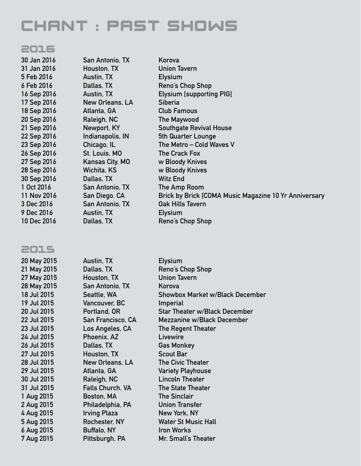# CHANT : Past Shows

# 2O16

# 2O15

**20 May 2015 Austin, TX Elysium 21 May 2015 Dallas, TX Reno's Chop Shop 27 May 2015 Houston, TX Union Tavern 28 May 2015 San Antonio, TX Korova 18 Jul 2015 Se 19 Jul 2015 Vancouver, BC Imperial 20 Jul 2015 Portland, OR Star Theater w/Black December 22 Jul 2015 San Francisco, CA Mezzanine w/Black December 23 Jul 2015 Los Angeles, CA The Regent Theater 24 Jul 2015 Phoenix, AZ Livewire 26 Jul 2015 Dallas, TX Gas Monkey 27 Jul 2015 Houston, TX Scout Bar 28 Jul 2015 New Orleans, LA The Civic Theater 29 Jul 2015 Atlanta, GA Variety Playhouse 30 Jul 2015 Raleigh, NC Lincoln Theater 31 Jul 2015 Falls Church, VA The State Theater 1 Aug 2015 Bo 2 Aug 2015 Philadelphia, PA Union Transfer 4 Aug 2015 Irving Plaza New York, NY 5 Aug 2015 Rochester, NY Water St Music Hall 6 Aug 2015 Buffalo, NY Iron Works 7 Aug 2015 Pittsburgh, PA Mr. Small's Theater** 

**30 Jan 2016 San Antonio, TX Korova 31 Jan 2016 Houston, TX Union Tavern 5 Feb 2016 Austin, TX Elysium 17 Sep 2016 New Orleans, LA Siberia 18 Sep 2016 Atlanta, GA Club Famous 20 Sep 2016 Raleigh, NC The Maywood 26 Sep 2016 St. Louis, MO The Crack Fox 27 Sep 2016 Kansas City, MO w Bloody Knives 28 Sep 2016 Wichita, KS w Bloody Knives 30 Sep 2016 Dallas, TX Witz End 1 Oct 2016 San Antonio, TX The Amp Room 3 Dec 2016 San Antonio, TX Oak Hills Tavern 9 Dec 2016 Austin, TX Elysium** 

**6 Feb 2016 Dallas, TX Reno's Chop Shop 16 Sep 2016 Austin, TX Elysium [supporting PIG] 21 Sep 2016 Newport, KY Southgate Revival House 22 Sep 2016 Indianapolis, IN 5th Quarter Lounge 23 Sep 2016 Chicago, IL The Metro – Cold Waves V 11 Nov 2016 San Diego, CA Brick by Brick [COMA Music Magazine 10 Yr Anniversary**  10 Dec 2016 **Dallas, TX** Reno's Chop Shop

| ı <b>stin, TX</b> | <b>Elysium</b>                         |
|-------------------|----------------------------------------|
| ı <b>llas, TX</b> | Reno's Chop Shop                       |
| uston, TX         | <b>Union Tavern</b>                    |
| n Antonio, TX     | Korova                                 |
| attle, WA         | <b>Showbox Market w/Black December</b> |
| ncouver, BC       | Imperial                               |
| rtland, OR        | <b>Star Theater w/Black December</b>   |
| n Francisco, CA   | <b>Mezzanine w/Black December</b>      |
| s Angeles, CA     | The Regent Theater                     |
| oenix, AZ         | Livewire                               |
| ı <b>llas, TX</b> | <b>Gas Monkey</b>                      |
| uston, TX         | <b>Scout Bar</b>                       |
| w Orleans, LA!    | <b>The Civic Theater</b>               |
| lanta, GA         | <b>Variety Playhouse</b>               |
| leigh, NC         | <b>Lincoln Theater</b>                 |
| lls Church, VA    | <b>The State Theater</b>               |
| ston, MA          | <b>The Sinclair</b>                    |
| iladelphia, PA    | <b>Union Transfer</b>                  |
| ing Plaza         | New York, NY                           |
| chester, NY       | <b>Water St Music Hall</b>             |
| ıffalo, NY        | <b>Iron Works</b>                      |
| tsburah. PA:      | Mr. Small's Theater                    |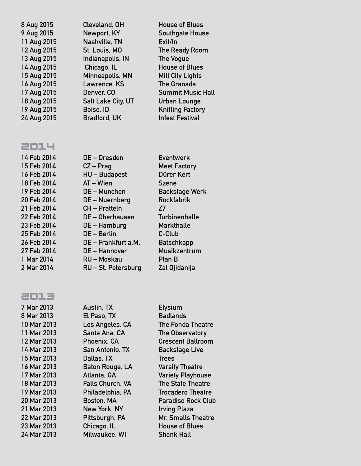| 8 Aug 2015  |
|-------------|
| 9 Aug 2015  |
| 11 Aug 2015 |
| 12 Aug 2015 |
| 13 Aug 2015 |
| 14 Aug 2015 |
| 15 Aug 2015 |
| 16 Aug 2015 |
| 17 Aug 2015 |
| 18 Aug 2015 |
| 19 Aug 2015 |
| 24 Aug 2015 |
|             |

## 2O14

| 14 FED ZUT4        |
|--------------------|
| 15 Feb 2014        |
| 16 Feb 2014        |
| 18 Feb 2014        |
| 19 Feb 2014        |
| 20 Feb 2014        |
| 21 Feb 2014        |
| 22 Feb 2014        |
| 23 Feb 2014        |
| 25 Feb 2014        |
| 26 Feb 2014        |
| <b>27 Feb 2014</b> |
| 1 Mar 2014         |
| 2 Mar 2014         |
|                    |

**16 Feb 2014 HU – Budapest Dürer Kert 18 Feb 2014 AT – Wien Szene 19 Feb 2014 DE – Munchen Backstage Werk 20 Feb 2014 DE – Nuernberg Rockfabrik 21 Feb 2014 CH – Pratteln Z7 22 Feb 2014 DE – Oberhausen Turbinenhalle 23 Feb 2014 DE – Hamburg Markthalle 25 Feb 2014 DE – Berlin C-Club 26 Feb 2014 DE – Frankfurt a.M. Batschkapp 27 Feb 2014 DE – Hannover Musikzentrum 1 Mar 2014 RU – Moskau Plan B** 

**8 Aug 2015 Cleveland, OH House of Blues 9 Aug 2015 Newport, KY Southgate House**

**12 Aug 2015 St. Louis, MO The Ready Room**

**14 Aug 2015 Chicago, IL House of Blues 15 Aug 2015 Minneapolis, MN Mill City Lights 16 Aug 2015 Lawrence, KS The Granada** 

**17 Denver, CO Summit Music Hall 18 Aug 2015 Salt Lake City, UT Urban Lounge 19 Aug 2015 Boise, ID Knitting Factory 24 Aug 2015 Bradford, UK Infest Festival** 

**11 Aug 2015 Nashville, TN Exit/In** 

**13 Aug 2015 Indianapolis, IN The Vogue**

**14 Feb 2014 DE – Dresden Eventwerk 15 Feb 2014 CZ – Prag Meet Factory 2 Mar 2014 RU – St. Petersburg Zal Ojidanija** 

# 2O13

**7 Mar 2013 Austin, TX Elysium** 8 Mar 2013 **El Paso, TX** Badlands **11 Mar 2013 Santa Ana, CA The Observatory**  14 Mar 2013 **San Antonio, TX** Backstage Live **15 Mar 2013 Dallas, TX Trees 16 Mar 2013 Baton Rouge, LA Varsity Theatre 18 Mar 2013 Falls Church, VA The State Theatre 21 Mar 2013 New York, NY Irving Plaza 23 Mar 2013 Chicago, IL House of Blues 24 Mar 2013 Milwaukee, WI Shank Hall** 

**10 Mar 2013 Los Angeles, CA The Fonda Theatre 12 Mar 2013 Phoenix, CA Crescent Ballroom 17 Mar 2013 Atlanta, GA Variety Playhouse 19 Mar 2013 Philadelphia, PA Trocadero Theatre 20 Mar 2013 Boston, MA Paradise Rock Club 22 Mar 2013 Pittsburgh, PA Mr. Smalls Theatre**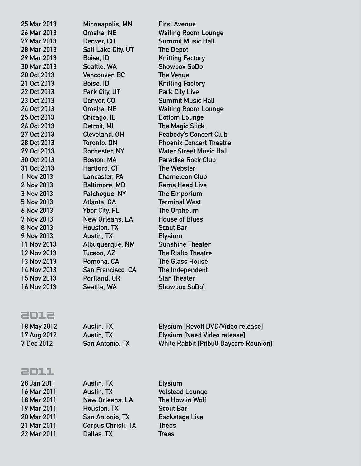| 25 Mar 2013 | Minneapolis, MN        | <b>First Avenue</b>            |
|-------------|------------------------|--------------------------------|
| 26 Mar 2013 | Omaha, NE              | <b>Waiting Room Lounge</b>     |
| 27 Mar 2013 | Denver, CO             | <b>Summit Music Hall</b>       |
| 28 Mar 2013 | Salt Lake City, UT     | <b>The Depot</b>               |
| 29 Mar 2013 | Boise, ID              | <b>Knitting Factory</b>        |
| 30 Mar 2013 | Seattle, WA            | <b>Showbox SoDo</b>            |
| 20 Oct 2013 | Vancouver, BC          | <b>The Venue</b>               |
| 21 Oct 2013 | Boise, ID              | <b>Knitting Factory</b>        |
| 22 Oct 2013 | Park City, UT          | <b>Park City Live</b>          |
| 23 Oct 2013 | Denver, CO             | <b>Summit Music Hall</b>       |
| 24 Oct 2013 | Omaha, NE              | <b>Waiting Room Lounge</b>     |
| 25 Oct 2013 | Chicago, IL            | <b>Bottom Lounge</b>           |
| 26 Oct 2013 | Detroit, MI            | <b>The Magic Stick</b>         |
| 27 Oct 2013 | <b>Cleveland, OH</b>   | <b>Peabody's Concert Club</b>  |
| 28 Oct 2013 | Toronto, ON            | <b>Phoenix Concert Theatre</b> |
| 29 Oct 2013 | Rochester, NY          | <b>Water Street Music Hall</b> |
| 30 Oct 2013 | Boston, MA             | <b>Paradise Rock Club</b>      |
| 31 Oct 2013 | <b>Hartford, CT</b>    | The Webster                    |
| 1 Nov 2013  | Lancaster, PA          | <b>Chameleon Club</b>          |
| 2 Nov 2013  | <b>Baltimore, MD</b>   | <b>Rams Head Live</b>          |
| 3 Nov 2013  | Patchogue, NY          | The Emporium                   |
| 5 Nov 2013  | Atlanta, GA            | <b>Terminal West</b>           |
| 6 Nov 2013  | Ybor City, FL          | The Orpheum                    |
| 7 Nov 2013  | <b>New Orleans, LA</b> | <b>House of Blues</b>          |
| 8 Nov 2013  | Houston, TX            | <b>Scout Bar</b>               |
| 9 Nov 2013  | Austin, TX             | <b>Elysium</b>                 |
| 11 Nov 2013 | Albuquerque, NM        | <b>Sunshine Theater</b>        |
| 12 Nov 2013 | Tucson, AZ             | <b>The Rialto Theatre</b>      |
| 13 Nov 2013 | Pomona, CA             | <b>The Glass House</b>         |
| 14 Nov 2013 | San Francisco, CA      | The Independent                |
| 15 Nov 2013 | Portland, OR           | <b>Star Theater</b>            |
| 16 Nov 2013 | Seattle, WA            | Showbox SoDo]                  |
|             |                        |                                |

## 2O12

| 18 May 2012 | <b>Austin, TX</b> | Elysium [Revolt DVD/Video release]            |
|-------------|-------------------|-----------------------------------------------|
| 17 Aug 2012 | Austin, TX        | <b>Elysium [Need Video release]</b>           |
| 7 Dec 2012  | San Antonio, TX   | <b>White Rabbit [Pitbull Daycare Reunion]</b> |

## 2O11

**22 Mar 2011 Dallas, TX** 

**28 Jan 2011 Austin, TX Elysium 16 Mar 2011 Austin, TX Volstead Lounge 18 Mar 2011 New Orleans, LA The Howlin Wolf 19 Mar 2011 Houston, TX 20 Mar 2011 San Antonio, TX Backstage Live 21 Mar 2011 Corpus Christi, TX Theos**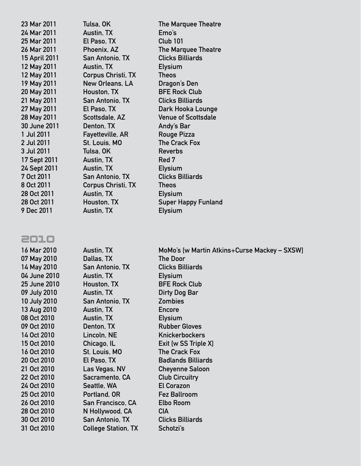**9 Dec 2011 Austin, TX Elysium**

**24 Mar 2011 Austin, TX Emo's 25 Mar 2011 El Paso, TX Club 101 15 April 2011 San Antonio, TX Clicks Billiards 12 May 2011 Austin, TX Elysium 12 May 2011 Corpus Christi, TX Theos 19 May 2011 New Orleans, LA Dragon's Den 20 May 2011 Houston, TX BFE Rock Club 21 May 2011 San Antonio, TX Clicks Billiards 30 June 2011 Denton, TX Andy's Bar 1 Jul 2011 Fayetteville, AR Rouge Pizza 2 Jul 2011 St. Louis, MO The Crack Fox 3 Jul 2011 Tulsa, OK Reverbs 17 Sept 2011 Austin, TX Red 7 24 Sept 2011 Austin, TX Elysium 7 Oct 2011 San Antonio, TX Clicks Billiards 8 Oct 2011 Corpus Christi, TX Theos 28 Oct 2011 Austin, TX Elysium**

**23 Mar 2011 Tulsa, OK The Marquee Theatre 26 Mar 2011 Phoenix, AZ The Marquee Theatre 27 May 2011 El Paso, TX Dark Hooka Lounge 28 May 2011 Scottsdale, AZ Venue of Scottsdale 28 Oct 2011 Houston, TX Super Happy Funland**

# 2O1O

**16 Mar 2010 Aust 07 May 2010 Dallas, TX The Door 14 May 2010 San 04 June 2010 Austin, TX Elysium 25 June 2010 Houst 09 July 2010 Austin, TX Dirty Dog Bar 10 July 2010 San 13 Aug 2010 Aust 08 Oct 2010 Aust 09 Oct 2010 Dent 14 Oct 2010 Linco 15 Oct 2010 Chicago 16 Oct 2010 St. L 20 Oct 2010 El Paso, TX Badlands Billiards 21 Oct 2010 Las 22 Oct 2010 Sacramento, CA Club Circuitry 24 Oct 2010 Seattle 25 Oct 2010 Portland, OR Fez Ballroom 26 Oct 2010 San Francisco, CA Elbo Room 28 Oct 2010 N Hollywood, CA CIA 30 Oct 2010 San Antonio, TX Clicks Billiards 31 Oct 2010 College** 

| ∶in, TX         | MoMo's [w Martin Atkins+Curse Mackey - SXSW] |
|-----------------|----------------------------------------------|
| as, TX          | The Door                                     |
| Antonio, TX     | <b>Clicks Billiards</b>                      |
| ∶in, TX         | <b>Elysium</b>                               |
| ston, TX        | <b>BFE Rock Club</b>                         |
| ∶in, TX         | Dirty Dog Bar                                |
| Antonio, TX     | <b>Zombies</b>                               |
| ∶in, TX         | <b>Encore</b>                                |
| ∶in, TX         | <b>Elysium</b>                               |
| l <b>on, TX</b> | <b>Rubber Gloves</b>                         |
| oln, NE         | <b>Knickerbockers</b>                        |
| ago, IL         | Exit [w SS Triple X]                         |
| ouis, MO        | The Crack Fox                                |
| aso, TX         | <b>Badlands Billiards</b>                    |
| Vegas, NV       | <b>Cheyenne Saloon</b>                       |
| amento, CA      | <b>Club Circuitry</b>                        |
| tle, WA         | El Corazon                                   |
| land, OR        | <b>Fez Ballroom</b>                          |
| Francisco, CA   | Elbo Room                                    |
| ollywood, CA    | <b>CIA</b>                                   |
| Antonio, TX     | Clicks Billiards                             |
| ege Station. TX | Schotzi's                                    |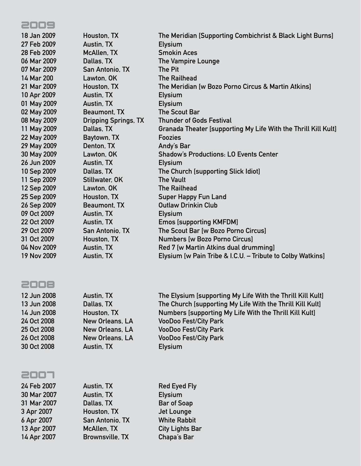#### 2OO9

| 18 Jan 2009        | Houston, TX                 | The Meridian [Supporting Combichrist & Black Light Burns]      |
|--------------------|-----------------------------|----------------------------------------------------------------|
| 27 Feb 2009        | Austin, TX                  | <b>Elysium</b>                                                 |
| 28 Feb 2009        | McAllen, TX                 | <b>Smokin Aces</b>                                             |
| 06 Mar 2009        | Dallas, TX                  | The Vampire Lounge                                             |
| 07 Mar 2009        | San Antonio, TX             | The Pit                                                        |
| 14 Mar 200         | Lawton, OK                  | <b>The Railhead</b>                                            |
| 21 Mar 2009        | Houston, TX                 | The Meridian [w Bozo Porno Circus & Martin Atkins]             |
| 10 Apr 2009        | Austin, TX                  | <b>Elysium</b>                                                 |
| 01 May 2009        | Austin, TX                  | <b>Elysium</b>                                                 |
| 02 May 2009        | Beaumont, TX                | <b>The Scout Bar</b>                                           |
| 08 May 2009        | <b>Dripping Springs, TX</b> | <b>Thunder of Gods Festival</b>                                |
| 11 May 2009        | Dallas, TX                  | Granada Theater [supporting My Life With the Thrill Kill Kult] |
| 22 May 2009        | Baytown, TX                 | <b>Foozies</b>                                                 |
| 29 May 2009        | Denton, TX                  | Andy's Bar                                                     |
| 30 May 2009        | Lawton, OK                  | <b>Shadow's Productions: LO Events Center</b>                  |
| <b>26 Jun 2009</b> | Austin, TX                  | <b>Elysium</b>                                                 |
| 10 Sep 2009        | Dallas, TX                  | The Church [supporting Slick Idiot]                            |
| 11 Sep 2009        | Stillwater, OK              | <b>The Vault</b>                                               |
| 12 Sep 2009        | Lawton, OK                  | <b>The Railhead</b>                                            |
| 25 Sep 2009        | Houston, TX                 | <b>Super Happy Fun Land</b>                                    |
| 26 Sep 2009        | Beaumont, TX                | <b>Outlaw Drinkin Club</b>                                     |
| 09 Oct 2009        | Austin, TX                  | <b>Elysium</b>                                                 |
| 22 Oct 2009        | Austin, TX                  | <b>Emos [supporting KMFDM]</b>                                 |
| 29 Oct 2009        | San Antonio, TX             | The Scout Bar [w Bozo Porno Circus]                            |
| 31 Oct 2009        | Houston, TX                 | <b>Numbers [w Bozo Porno Circus]</b>                           |
| <b>04 Nov 2009</b> | Austin, TX                  | Red 7 [w Martin Atkins dual drumming]                          |
| 19 Nov 2009        | Austin, TX                  | Elysium [w Pain Tribe & I.C.U. – Tribute to Colby Watkins]     |

## 2OO8

| 12 Jun 2008 | Austin, TX      | The Elysium [supporting My Life With the Thrill Kill Kult] |
|-------------|-----------------|------------------------------------------------------------|
| 13 Jun 2008 | Dallas, TX      | The Church [supporting My Life With the Thrill Kill Kult]  |
| 14 Jun 2008 | Houston, TX     | Numbers [supporting My Life With the Thrill Kill Kult]     |
| 24 Oct 2008 | New Orleans, LA | <b>VooDoo Fest/City Park</b>                               |
| 25 Oct 2008 | New Orleans, LA | <b>VooDoo Fest/City Park</b>                               |
| 26 Oct 2008 | New Orleans, LA | <b>VooDoo Fest/City Park</b>                               |
| 30 Oct 2008 | Austin, TX      | <b>Elysium</b>                                             |
|             |                 |                                                            |

## 2OO7

**24 Feb 2007 Austin, TX Red Eyed Fly 30 Mar 2007 Austin, TX Elysium 31 Mar 2007 Dallas, TX Bar of Soap 3 Apr 2007 Houston, TX Jet Lounge 6 Apr 2007 San Antonio, TX White Rabbit 13 Apr 2007 McAllen, TX City Lights Bar 14 Apr 2007 Brownsville, TX Chapa's Bar**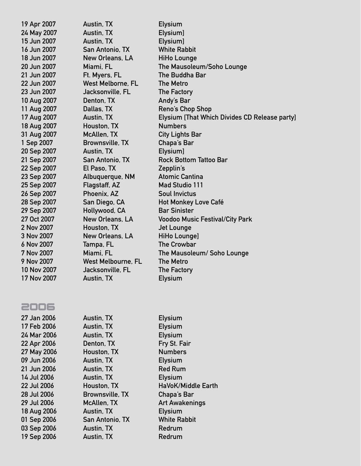| 19 Apr 2007 | Austin, TX                | <b>Elysium</b>                                |
|-------------|---------------------------|-----------------------------------------------|
| 24 May 2007 | Austin, TX                | Elysium]                                      |
| 15 Jun 2007 | Austin, TX                | Elysium]                                      |
| 16 Jun 2007 | San Antonio, TX           | <b>White Rabbit</b>                           |
| 18 Jun 2007 | New Orleans, LA           | <b>HiHo Lounge</b>                            |
| 20 Jun 2007 | Miami, FL                 | The Mausoleum/Soho Lounge                     |
| 21 Jun 2007 | Ft. Myers, FL             | The Buddha Bar                                |
| 22 Jun 2007 | <b>West Melborne, FL</b>  | <b>The Metro</b>                              |
| 23 Jun 2007 | Jacksonville, FL          | The Factory                                   |
| 10 Aug 2007 | Denton, TX                | Andy's Bar                                    |
| 11 Aug 2007 | Dallas, TX                | Reno's Chop Shop                              |
| 17 Aug 2007 | Austin, TX                | Elysium [That Which Divides CD Release party] |
| 18 Aug 2007 | Houston, TX               | <b>Numbers</b>                                |
| 31 Aug 2007 | <b>McAllen, TX</b>        | <b>City Lights Bar</b>                        |
| 1 Sep 2007  | <b>Brownsville, TX</b>    | Chapa's Bar                                   |
| 20 Sep 2007 | Austin, TX                | Elysium]                                      |
| 21 Sep 2007 | San Antonio, TX           | <b>Rock Bottom Tattoo Bar</b>                 |
| 22 Sep 2007 | El Paso, TX               | Zepplin's                                     |
| 23 Sep 2007 | Albuquerque, NM           | <b>Atomic Cantina</b>                         |
| 25 Sep 2007 | Flagstaff, AZ             | <b>Mad Studio 111</b>                         |
| 26 Sep 2007 | Phoenix, AZ               | <b>Soul Invictus</b>                          |
| 28 Sep 2007 | San Diego, CA             | <b>Hot Monkey Love Café</b>                   |
| 29 Sep 2007 | Hollywood, CA             | <b>Bar Sinister</b>                           |
| 27 Oct 2007 | New Orleans, LA           | <b>Voodoo Music Festival/City Park</b>        |
| 2 Nov 2007  | Houston, TX               | <b>Jet Lounge</b>                             |
| 3 Nov 2007  | New Orleans, LA           | <b>HiHo Lounge]</b>                           |
| 6 Nov 2007  | Tampa, FL                 | <b>The Crowbar</b>                            |
| 7 Nov 2007  | Miami, FL                 | The Mausoleum/ Soho Lounge                    |
| 9 Nov 2007  | <b>West Melbourne, FL</b> | <b>The Metro</b>                              |
| 10 Nov 2007 | Jacksonville, FL          | The Factory                                   |
| 17 Nov 2007 | Austin, TX                | <b>Elysium</b>                                |
|             |                           |                                               |

#### 2OO6

**27 Jan 2006 Austin, TX Elysium 17 Feb 2006 Austin, TX Elysium 24 Mar 2006 Austin, TX Elysium 22 Apr 2006 Denton, TX Fry St. Fair 27 May 2006 Houston, TX Numbers 09 Jun 2006 Austin, TX Elysium 21 Jun 2006 Austin, TX Red Rum 14 Jul 2006 Austin, TX Elysium 28 Jul 2006 Brownsville, TX Chapa's Bar 18 Aug 2006 Austin, TX Elysium 01 Sep 2006 San Antonio, TX White Rabbit** 03 Sep 2006 **Austin, TX** Redrum 19 Sep 2006 **Austin, TX Redrum** 

**22 Jul 2006 Houston, TX HaVoK/Middle Earth 29 Jul 2006 McAllen, TX Art Awakenings**